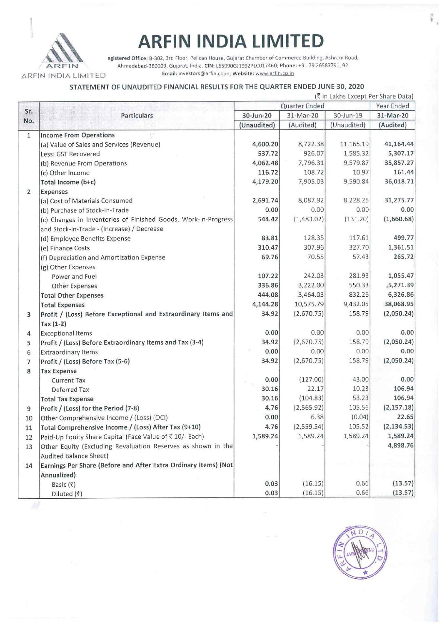

# **ARFIN INDIA LIMITED**

egistered Office: B-302, 3rd Floor, Pelican House, Gujarat Chamber of Commerce Building, Ashram Road, ARFIN Ahmedabad-380009, Gujarat, India. CIN: L65990GJ1992PLC017460; Phone: +91 79 26583791, 92 ARFIN INDIA LIMITED Email: Investors@arfin.co.in, Website: www.arfin.co.in

### STATEMENT OF UNAUDITED FINANCIAL RESULTS FOR THE QUARTER ENDED JUNE 30, 2020

|                |                                                                 | (रैं in Lakhs Except Per Share Data) |             |             |             |
|----------------|-----------------------------------------------------------------|--------------------------------------|-------------|-------------|-------------|
|                |                                                                 | Quarter Ended                        |             |             | Year Ended  |
| Sr.            | <b>Particulars</b>                                              | 30-Jun-20                            | 31-Mar-20   | 30-Jun-19   | 31-Mar-20   |
| No.            |                                                                 | (Unaudited)                          | (Audited)   | (Unaudited) | (Audited)   |
| $\mathbf{1}$   | <b>Income From Operations</b>                                   |                                      |             |             |             |
|                | (a) Value of Sales and Services (Revenue)                       | 4,600.20                             | 8,722.38    | 11,165.19   | 41,164.44   |
|                | Less: GST Recovered                                             | 537.72                               | 926.07      | 1,585.32    | 5,307.17    |
|                | (b) Revenue From Operations                                     | 4,062.48                             | 7,796.31    | 9,579.87    | 35,857.27   |
|                | (c) Other Income                                                | 116.72                               | 108.72      | 10,97       | 161.44      |
|                | Total Income (b+c)                                              | 4,179.20                             | 7,905.03    | 9,590.84    | 36,018.71   |
| $\overline{2}$ | <b>Expenses</b>                                                 |                                      |             |             |             |
|                | (a) Cost of Materials Consumed                                  | 2,691.74                             | 8,087.92    | 8,228.25    | 31,275.77   |
|                | (b) Purchase of Stock-In-Trade                                  | 0.00                                 | 0.00        | 0.00        | 0.00        |
|                | (c) Changes in Inventories of Finished Goods, Work-In-Progress  | 544.42                               | (1,483.02)  | (131.20)    | (1,660.68)  |
|                | and Stock-In-Trade - (Increase) / Decrease                      |                                      |             |             |             |
|                | (d) Employee Benefits Expense                                   | 83.81                                | 128.35      | 117.61      | 499.77      |
|                | (e) Finance Costs                                               | 310.47                               | 307.96      | 327.70      | 1,361.51    |
|                | (f) Depreciation and Amortization Expense                       | 69.76                                | 70.55       | 57.43       | 265.72      |
|                | (g) Other Expenses                                              |                                      |             |             |             |
|                | Power and Fuel                                                  | 107.22                               | 242.03      | 281.93      | 1,055.47    |
|                | <b>Other Expenses</b>                                           | 336.86                               | 3,222.00    | 550.33      | 5,271.39    |
|                | <b>Total Other Expenses</b>                                     | 444.08                               | 3,464.03    | 832.26      | 6,326.86    |
|                | <b>Total Expenses</b>                                           | 4,144.28                             | 10,575.79   | 9,432.05    | 38,068.95   |
| 3              | Profit / (Loss) Before Exceptional and Extraordinary Items and  | 34.92                                | (2,670.75)  | 158.79      | (2,050.24)  |
|                | $Tax (1-2)$                                                     |                                      |             |             |             |
| 4              | <b>Exceptional Items</b>                                        | 0.00                                 | 0.00        | 0.00        | 0.00        |
| 5              | Profit / (Loss) Before Extraordinary Items and Tax (3-4)        | 34.92                                | (2,670.75)  | 158.79      | (2,050.24)  |
| 6              | <b>Extraordinary Items</b>                                      | 0.00                                 | 0.00        | 0.00        | 0.00        |
| $\overline{7}$ | Profit / (Loss) Before Tax (5-6)                                | 34.92                                | (2,670.75)  | 158.79      | (2,050.24)  |
| 8              | <b>Tax Expense</b>                                              |                                      |             |             |             |
|                | <b>Current Tax</b>                                              | 0.00                                 | (127.00)    | 43.00       | 0.00        |
|                | Deferred Tax                                                    | 30.16                                | 22.17       | 10.23       | 106.94      |
|                | <b>Total Tax Expense</b>                                        | 30.16                                | (104.83)    | 53.23       | 106.94      |
| 9              | Profit / (Loss) for the Period (7-8)                            | 4,76                                 | (2, 565.92) | 105.56      | (2, 157.18) |
| 10             | Other Comprehensive Income / (Loss) (OCI)                       | 0.00                                 | 6.38        | (0.04)      | 22.65       |
| 11             | Total Comprehensive Income / (Loss) After Tax (9+10)            | 4.76                                 | (2,559.54)  | 105.52      | (2, 134.53) |
| 12             | Paid-Up Equity Share Capital (Face Value of ₹10/- Each)         | 1,589.24                             | 1,589.24    | 1,589.24    | 1,589.24    |
| 13             | Other Equity (Excluding Revaluation Reserves as shown in the    |                                      |             |             | 4,898.76    |
|                | Audited Balance Sheet)                                          |                                      |             |             |             |
| 14             | Earnings Per Share (Before and After Extra Ordinary Items) (Not |                                      |             |             |             |
|                | Annualized)                                                     |                                      |             |             |             |
|                | Basic (₹)                                                       | 0.03                                 | (16.15)     | 0.66        | (13.57)     |
|                | Diluted (₹)                                                     | 0.03                                 | (16.15)     | 0.66        | (13.57)     |



 $\frac{\pi}{4}$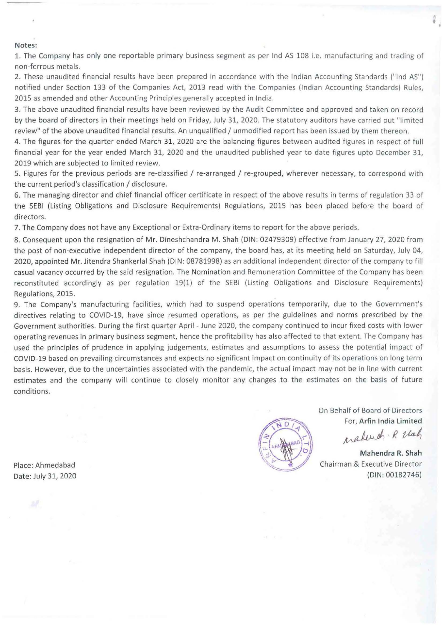#### **Notes:**

1. The Company has only one reportable primary business segment as per Ind AS 108 i.e. manufacturing and trading of non-ferrous metals.

2. These unaudited financial results have been prepared in accordance with the Indian Accounting Standards ("Ind AS") notified under Section 133 of the Companies Act, 2013 read with the Companies (Indian Accounting Standards) Rules, 2015 as amended and other Accounting Principles generally accepted in India.

3. The above unaudited financial results have been reviewed by the Audit Committee and approved and taken on record by the board of directors in their meetings held on Friday, July 31, 2020. The statutory auditors have carried out "limited review" of the above unaudited financial results. An unqualified / unmodified report has been issued by them thereon.

4. The figures for the quarter ended March 31, 2020 are the balancing figures between audited figures in respect of full financial year for the year ended March 31, 2020 and the unaudited published year to date figures upto December 31, 2019 which are subjected to limited review.

5. Figures for the previous periods are re-classified / re-arranged / re-grouped, wherever necessary, to correspond with the current period's classification / disclosure.

6. The managing director and chief financial officer certificate in respect of the above results in terms of regulation 33 of the SEBI (Listing Obligations and Disclosure Requirements) Regulations, 2015 has been placed before the board of directors.

7. The Company does not have any Exceptional or Extra-Ordinary items to report for the above periods.

8. Consequent upon the resignation of Mr. Dineshchandra M. Shah (DIN: 02479309) effective from January 27, 2020 from the post of non-executive independent director of the company, the board has, at its meeting held on Saturday, July 04, 2020, appointed Mr. Jitendra Shankerlal Shah (DIN: 08781998) as an additional independent director of the company to fill casual vacancy occurred by the said resignation. The Nomination and Remuneration Committee of the Company has been reconstituted accordingly as per regulation 19(1) of the SEBI (Listing Obligations and Disclosure Requirements) Regulations, 2015.

9. The Company's manufacturing facilities, which had to suspend operations temporarily, due to the Government's directives relating to COVID-19, have since resumed operations, as per the guidelines and norms prescribed by the Government authorities. During the first quarter April - June 2020, the company continued to incur fixed costs with lower operating revenues in primary business segment, hence the profitability has also affected to that extent. The Company has used the principles of prudence in applying judgements, estimates and assumptions to assess the potential impact of COVID-19 based on prevailing circumstances and expects no significant impact on continuity of its operations on long term basis. However, due to the uncertainties associated with the pandemic, the actual impact may not be in line with current estimates and the company will continue to closely monitor any changes to the estimates on the basis of future conditions.

 $\Gamma$ 

On Behalf of Board of Directors For, **Arfin India Limited**  Materiah. R Ush

•

**Mahendra R. Shah**  Chairman & Executive Director (DIN: 00182746)

Place: Ahmedabad Date: July 31, 2020